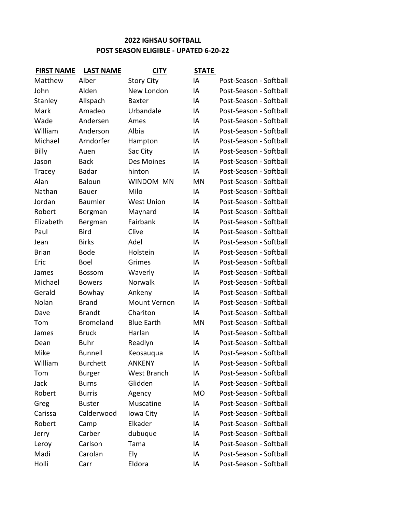## **POST SEASON ELIGIBLE - UPATED 6-20-22 2022 IGHSAU SOFTBALL**

| <b>FIRST NAME</b> | <b>LAST NAME</b> | <b>CITY</b>       | <b>STATE</b> |                        |
|-------------------|------------------|-------------------|--------------|------------------------|
| Matthew           | Alber            | <b>Story City</b> | IA           | Post-Season - Softball |
| John              | Alden            | New London        | IA           | Post-Season - Softball |
| Stanley           | Allspach         | <b>Baxter</b>     | IA           | Post-Season - Softball |
| Mark              | Amadeo           | Urbandale         | IA           | Post-Season - Softball |
| Wade              | Andersen         | Ames              | IA           | Post-Season - Softball |
| William           | Anderson         | Albia             | IA           | Post-Season - Softball |
| Michael           | Arndorfer        | Hampton           | IA           | Post-Season - Softball |
| Billy             | Auen             | Sac City          | IA           | Post-Season - Softball |
| Jason             | <b>Back</b>      | Des Moines        | IA           | Post-Season - Softball |
| Tracey            | <b>Badar</b>     | hinton            | IA           | Post-Season - Softball |
| Alan              | <b>Baloun</b>    | WINDOM MN         | MN           | Post-Season - Softball |
| Nathan            | <b>Bauer</b>     | Milo              | IA           | Post-Season - Softball |
| Jordan            | <b>Baumler</b>   | <b>West Union</b> | IA           | Post-Season - Softball |
| Robert            | Bergman          | Maynard           | IA           | Post-Season - Softball |
| Elizabeth         | Bergman          | Fairbank          | IA           | Post-Season - Softball |
| Paul              | <b>Bird</b>      | Clive             | IA           | Post-Season - Softball |
| Jean              | <b>Birks</b>     | Adel              | IA           | Post-Season - Softball |
| <b>Brian</b>      | <b>Bode</b>      | Holstein          | IA           | Post-Season - Softball |
| Eric              | <b>Boel</b>      | Grimes            | IA           | Post-Season - Softball |
| James             | <b>Bossom</b>    | Waverly           | IA           | Post-Season - Softball |
| Michael           | <b>Bowers</b>    | Norwalk           | IA           | Post-Season - Softball |
| Gerald            | Bowhay           | Ankeny            | IA           | Post-Season - Softball |
| Nolan             | <b>Brand</b>     | Mount Vernon      | IA           | Post-Season - Softball |
| Dave              | <b>Brandt</b>    | Chariton          | IA           | Post-Season - Softball |
| Tom               | <b>Bromeland</b> | <b>Blue Earth</b> | MN           | Post-Season - Softball |
| James             | <b>Bruck</b>     | Harlan            | IA           | Post-Season - Softball |
| Dean              | <b>Buhr</b>      | Readlyn           | IA           | Post-Season - Softball |
| Mike              | <b>Bunnell</b>   | Keosauqua         | IA           | Post-Season - Softball |
| William           | <b>Burchett</b>  | <b>ANKENY</b>     | IA           | Post-Season - Softball |
| Tom               | <b>Burger</b>    | West Branch       | IA           | Post-Season - Softball |
| Jack              | <b>Burns</b>     | Glidden           | IA           | Post-Season - Softball |
| Robert            | <b>Burris</b>    | Agency            | MO           | Post-Season - Softball |
| Greg              | <b>Buster</b>    | Muscatine         | IA           | Post-Season - Softball |
| Carissa           | Calderwood       | Iowa City         | IA           | Post-Season - Softball |
| Robert            | Camp             | Elkader           | IA           | Post-Season - Softball |
| Jerry             | Carber           | dubuque           | IA           | Post-Season - Softball |
| Leroy             | Carlson          | Tama              | IA           | Post-Season - Softball |
| Madi              | Carolan          | Ely               | ΙA           | Post-Season - Softball |
| Holli             | Carr             | Eldora            | ΙA           | Post-Season - Softball |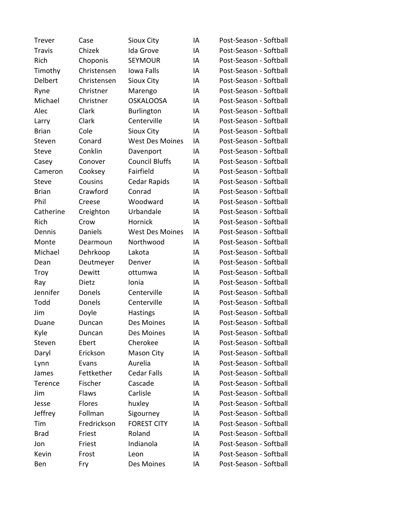| <b>Trever</b> | Case           | <b>Sioux City</b>      | IA | Post-Season - Softball |
|---------------|----------------|------------------------|----|------------------------|
| <b>Travis</b> | Chizek         | Ida Grove              | IA | Post-Season - Softball |
| Rich          | Choponis       | <b>SEYMOUR</b>         | IA | Post-Season - Softball |
| Timothy       | Christensen    | Iowa Falls             | IA | Post-Season - Softball |
| Delbert       | Christensen    | <b>Sioux City</b>      | IA | Post-Season - Softball |
| Ryne          | Christner      | Marengo                | IA | Post-Season - Softball |
| Michael       | Christner      | <b>OSKALOOSA</b>       | IA | Post-Season - Softball |
| Alec          | Clark          | <b>Burlington</b>      | IA | Post-Season - Softball |
| Larry         | Clark          | Centerville            | IA | Post-Season - Softball |
| <b>Brian</b>  | Cole           | Sioux City             | IA | Post-Season - Softball |
| Steven        | Conard         | <b>West Des Moines</b> | IA | Post-Season - Softball |
| <b>Steve</b>  | Conklin        | Davenport              | IA | Post-Season - Softball |
| Casey         | Conover        | <b>Council Bluffs</b>  | IA | Post-Season - Softball |
| Cameron       | Cooksey        | Fairfield              | IA | Post-Season - Softball |
| <b>Steve</b>  | Cousins        | Cedar Rapids           | IA | Post-Season - Softball |
| <b>Brian</b>  | Crawford       | Conrad                 | IA | Post-Season - Softball |
| Phil          | Creese         | Woodward               | IA | Post-Season - Softball |
| Catherine     | Creighton      | Urbandale              | IA | Post-Season - Softball |
| Rich          | Crow           | Hornick                | IA | Post-Season - Softball |
| Dennis        | <b>Daniels</b> | <b>West Des Moines</b> | IA | Post-Season - Softball |
| Monte         | Dearmoun       | Northwood              | IA | Post-Season - Softball |
| Michael       | Dehrkoop       | Lakota                 | IA | Post-Season - Softball |
| Dean          | Deutmeyer      | Denver                 | IA | Post-Season - Softball |
| Troy          | Dewitt         | ottumwa                | IA | Post-Season - Softball |
| Ray           | Dietz          | Ionia                  | IA | Post-Season - Softball |
| Jennifer      | Donels         | Centerville            | IA | Post-Season - Softball |
| Todd          | Donels         | Centerville            | IA | Post-Season - Softball |
| Jim           | Doyle          | Hastings               | IA | Post-Season - Softball |
| Duane         | Duncan         | Des Moines             | IA | Post-Season - Softball |
| Kyle          | Duncan         | Des Moines             | IA | Post-Season - Softball |
| Steven        | Ebert          | Cherokee               | IA | Post-Season - Softball |
| Daryl         | Erickson       | <b>Mason City</b>      | IA | Post-Season - Softball |
| Lynn          | Evans          | Aurelia                | IA | Post-Season - Softball |
| James         | Fettkether     | <b>Cedar Falls</b>     | IA | Post-Season - Softball |
| Terence       | Fischer        | Cascade                | IA | Post-Season - Softball |
| Jim           | Flaws          | Carlisle               | IA | Post-Season - Softball |
| Jesse         | Flores         | huxley                 | IA | Post-Season - Softball |
| Jeffrey       | Follman        | Sigourney              | IA | Post-Season - Softball |
| Tim           | Fredrickson    | <b>FOREST CITY</b>     | IA | Post-Season - Softball |
| <b>Brad</b>   | Friest         | Roland                 | IA | Post-Season - Softball |
| Jon           | Friest         | Indianola              | IA | Post-Season - Softball |
| Kevin         | Frost          | Leon                   | IA | Post-Season - Softball |
| Ben           | Fry            | Des Moines             | ΙA | Post-Season - Softball |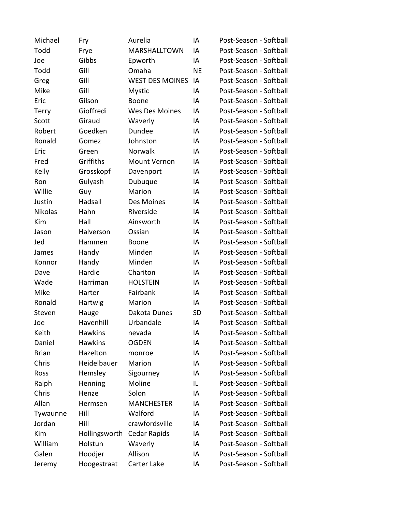| Michael        | Fry            | Aurelia                | IA        | Post-Season - Softball |
|----------------|----------------|------------------------|-----------|------------------------|
| Todd           | Frye           | MARSHALLTOWN           | IA        | Post-Season - Softball |
| Joe            | Gibbs          | Epworth                | IA        | Post-Season - Softball |
| Todd           | Gill           | Omaha                  | <b>NE</b> | Post-Season - Softball |
| Greg           | Gill           | <b>WEST DES MOINES</b> | IA        | Post-Season - Softball |
| Mike           | Gill           | <b>Mystic</b>          | IA        | Post-Season - Softball |
| Eric           | Gilson         | Boone                  | IA        | Post-Season - Softball |
| Terry          | Gioffredi      | Wes Des Moines         | IA        | Post-Season - Softball |
| Scott          | Giraud         | Waverly                | IA        | Post-Season - Softball |
| Robert         | Goedken        | Dundee                 | IA        | Post-Season - Softball |
| Ronald         | Gomez          | Johnston               | IA        | Post-Season - Softball |
| Eric           | Green          | Norwalk                | IA        | Post-Season - Softball |
| Fred           | Griffiths      | <b>Mount Vernon</b>    | IA        | Post-Season - Softball |
| Kelly          | Grosskopf      | Davenport              | IA        | Post-Season - Softball |
| Ron            | Gulyash        | Dubuque                | IA        | Post-Season - Softball |
| Willie         | Guy            | Marion                 | IA        | Post-Season - Softball |
| Justin         | Hadsall        | Des Moines             | IA        | Post-Season - Softball |
| <b>Nikolas</b> | Hahn           | Riverside              | IA        | Post-Season - Softball |
| Kim            | Hall           | Ainsworth              | IA        | Post-Season - Softball |
| Jason          | Halverson      | Ossian                 | IA        | Post-Season - Softball |
| Jed            | Hammen         | Boone                  | IA        | Post-Season - Softball |
| James          | Handy          | Minden                 | IA        | Post-Season - Softball |
| Konnor         | Handy          | Minden                 | IA        | Post-Season - Softball |
| Dave           | Hardie         | Chariton               | IA        | Post-Season - Softball |
| Wade           | Harriman       | <b>HOLSTEIN</b>        | IA        | Post-Season - Softball |
| Mike           | Harter         | Fairbank               | IA        | Post-Season - Softball |
| Ronald         | Hartwig        | Marion                 | IA        | Post-Season - Softball |
| Steven         | Hauge          | Dakota Dunes           | <b>SD</b> | Post-Season - Softball |
| Joe            | Havenhill      | Urbandale              | IA        | Post-Season - Softball |
| Keith          | <b>Hawkins</b> | nevada                 | IA        | Post-Season - Softball |
| Daniel         | <b>Hawkins</b> | <b>OGDEN</b>           | IA        | Post-Season - Softball |
| <b>Brian</b>   | Hazelton       | monroe                 | IA        | Post-Season - Softball |
| Chris          | Heidelbauer    | Marion                 | IA        | Post-Season - Softball |
| Ross           | Hemsley        | Sigourney              | IA        | Post-Season - Softball |
| Ralph          | Henning        | Moline                 | IL        | Post-Season - Softball |
| Chris          | Henze          | Solon                  | IA        | Post-Season - Softball |
| Allan          | Hermsen        | <b>MANCHESTER</b>      | IA        | Post-Season - Softball |
| Tywaunne       | Hill           | Walford                | IA        | Post-Season - Softball |
| Jordan         | Hill           | crawfordsville         | IA        | Post-Season - Softball |
| Kim            | Hollingsworth  | Cedar Rapids           | IA        | Post-Season - Softball |
| William        | Holstun        | Waverly                | IA        | Post-Season - Softball |
| Galen          | Hoodjer        | Allison                | IA        | Post-Season - Softball |
| Jeremy         | Hoogestraat    | Carter Lake            | ΙA        | Post-Season - Softball |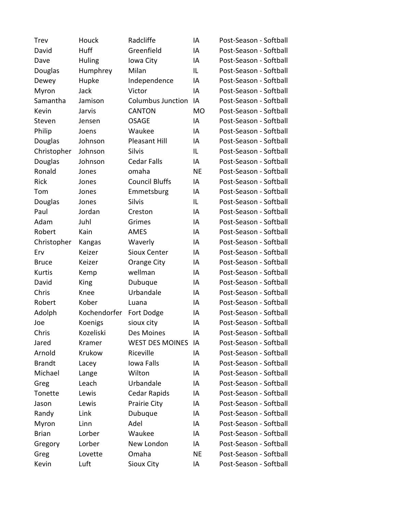| <b>Trev</b>    | Houck         | Radcliffe                | IA        | Post-Season - Softball |
|----------------|---------------|--------------------------|-----------|------------------------|
| David          | Huff          | Greenfield               | IA        | Post-Season - Softball |
| Dave           | <b>Huling</b> | Iowa City                | IA        | Post-Season - Softball |
| Douglas        | Humphrey      | Milan                    | IL        | Post-Season - Softball |
| Dewey          | Hupke         | Independence             | IA        | Post-Season - Softball |
| Myron          | Jack          | Victor                   | IA        | Post-Season - Softball |
| Samantha       | Jamison       | <b>Columbus Junction</b> | IA        | Post-Season - Softball |
| Kevin          | Jarvis        | <b>CANTON</b>            | <b>MO</b> | Post-Season - Softball |
| Steven         | Jensen        | <b>OSAGE</b>             | IA        | Post-Season - Softball |
| Philip         | Joens         | Waukee                   | IA        | Post-Season - Softball |
| Douglas        | Johnson       | <b>Pleasant Hill</b>     | IA        | Post-Season - Softball |
| Christopher    | Johnson       | Silvis                   | IL        | Post-Season - Softball |
| Douglas        | Johnson       | <b>Cedar Falls</b>       | IA        | Post-Season - Softball |
| Ronald         | Jones         | omaha                    | <b>NE</b> | Post-Season - Softball |
| Rick           | Jones         | <b>Council Bluffs</b>    | IA        | Post-Season - Softball |
| Tom            | Jones         | Emmetsburg               | IA        | Post-Season - Softball |
| Douglas        | Jones         | <b>Silvis</b>            | IL        | Post-Season - Softball |
| Paul           | Jordan        | Creston                  | IA        | Post-Season - Softball |
| Adam           | Juhl          | Grimes                   | IA        | Post-Season - Softball |
| Robert         | Kain          | <b>AMES</b>              | IA        | Post-Season - Softball |
| Christopher    | Kangas        | Waverly                  | IA        | Post-Season - Softball |
| Erv            | Keizer        | Sioux Center             | IA        | Post-Season - Softball |
| <b>Bruce</b>   | Keizer        | Orange City              | IA        | Post-Season - Softball |
| Kurtis         | Kemp          | wellman                  | IA        | Post-Season - Softball |
| David          | King          | Dubuque                  | IA        | Post-Season - Softball |
| Chris          | Knee          | Urbandale                | IA        | Post-Season - Softball |
| Robert         | Kober         | Luana                    | IA        | Post-Season - Softball |
| Adolph         | Kochendorfer  | Fort Dodge               | IA        | Post-Season - Softball |
| Joe            | Koenigs       | sioux city               | IA        | Post-Season - Softball |
| Chris          | Kozeliski     | Des Moines               | IA        | Post-Season - Softball |
| Jared          | Kramer        | <b>WEST DES MOINES</b>   | IA        | Post-Season - Softball |
| Arnold         | Krukow        | Riceville                | IA        | Post-Season - Softball |
| <b>Brandt</b>  | Lacey         | Iowa Falls               | IA        | Post-Season - Softball |
| Michael        | Lange         | Wilton                   | IA        | Post-Season - Softball |
| Greg           | Leach         | Urbandale                | IA        | Post-Season - Softball |
| <b>Tonette</b> | Lewis         | Cedar Rapids             | IA        | Post-Season - Softball |
| Jason          | Lewis         | Prairie City             | IA        | Post-Season - Softball |
| Randy          | Link          | Dubuque                  | IA        | Post-Season - Softball |
| Myron          | Linn          | Adel                     | IA        | Post-Season - Softball |
| <b>Brian</b>   | Lorber        | Waukee                   | IA        | Post-Season - Softball |
| Gregory        | Lorber        | New London               | ΙA        | Post-Season - Softball |
| Greg           | Lovette       | Omaha                    | NE        | Post-Season - Softball |
| Kevin          | Luft          | Sioux City               | ΙA        | Post-Season - Softball |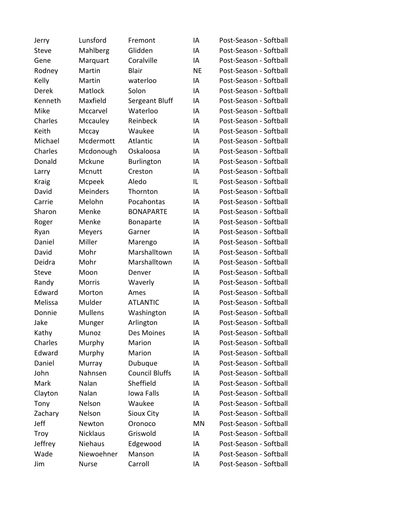| Jerry        | Lunsford        | Fremont               | IA        | Post-Season - Softball |
|--------------|-----------------|-----------------------|-----------|------------------------|
| <b>Steve</b> | Mahlberg        | Glidden               | IA        | Post-Season - Softball |
| Gene         | Marquart        | Coralville            | IA        | Post-Season - Softball |
| Rodney       | Martin          | <b>Blair</b>          | <b>NE</b> | Post-Season - Softball |
| Kelly        | Martin          | waterloo              | IA        | Post-Season - Softball |
| <b>Derek</b> | <b>Matlock</b>  | Solon                 | IA        | Post-Season - Softball |
| Kenneth      | Maxfield        | Sergeant Bluff        | IA        | Post-Season - Softball |
| Mike         | Mccarvel        | Waterloo              | IA        | Post-Season - Softball |
| Charles      | Mccauley        | Reinbeck              | IA        | Post-Season - Softball |
| Keith        | Mccay           | Waukee                | IA        | Post-Season - Softball |
| Michael      | Mcdermott       | Atlantic              | IA        | Post-Season - Softball |
| Charles      | Mcdonough       | Oskaloosa             | IA        | Post-Season - Softball |
| Donald       | Mckune          | <b>Burlington</b>     | IA        | Post-Season - Softball |
| Larry        | Mcnutt          | Creston               | IA        | Post-Season - Softball |
| <b>Kraig</b> | Mcpeek          | Aledo                 | IL        | Post-Season - Softball |
| David        | <b>Meinders</b> | Thornton              | IA        | Post-Season - Softball |
| Carrie       | Melohn          | Pocahontas            | IA        | Post-Season - Softball |
| Sharon       | Menke           | <b>BONAPARTE</b>      | IA        | Post-Season - Softball |
| Roger        | Menke           | Bonaparte             | IA        | Post-Season - Softball |
| Ryan         | Meyers          | Garner                | IA        | Post-Season - Softball |
| Daniel       | Miller          | Marengo               | IA        | Post-Season - Softball |
| David        | Mohr            | Marshalltown          | IA        | Post-Season - Softball |
| Deidra       | Mohr            | Marshalltown          | IA        | Post-Season - Softball |
| <b>Steve</b> | Moon            | Denver                | IA        | Post-Season - Softball |
| Randy        | Morris          | Waverly               | IA        | Post-Season - Softball |
| Edward       | Morton          | Ames                  | IA        | Post-Season - Softball |
| Melissa      | Mulder          | <b>ATLANTIC</b>       | IA        | Post-Season - Softball |
| Donnie       | <b>Mullens</b>  | Washington            | IA        | Post-Season - Softball |
| Jake         | Munger          | Arlington             | IA        | Post-Season - Softball |
| Kathy        | Munoz           | Des Moines            | IA        | Post-Season - Softball |
| Charles      | Murphy          | Marion                | IA        | Post-Season - Softball |
| Edward       | Murphy          | Marion                | ΙA        | Post-Season - Softball |
| Daniel       | Murray          | Dubuque               | ΙA        | Post-Season - Softball |
| John         | Nahnsen         | <b>Council Bluffs</b> | ΙA        | Post-Season - Softball |
| Mark         | Nalan           | Sheffield             | ΙA        | Post-Season - Softball |
| Clayton      | Nalan           | Iowa Falls            | ΙA        | Post-Season - Softball |
| Tony         | Nelson          | Waukee                | IA        | Post-Season - Softball |
| Zachary      | Nelson          | Sioux City            | IA        | Post-Season - Softball |
| Jeff         | Newton          | Oronoco               | MN        | Post-Season - Softball |
| <b>Troy</b>  | Nicklaus        | Griswold              | ΙA        | Post-Season - Softball |
| Jeffrey      | Niehaus         | Edgewood              | ΙA        | Post-Season - Softball |
| Wade         | Niewoehner      | Manson                | IA        | Post-Season - Softball |
| Jim          | Nurse           | Carroll               | ΙA        | Post-Season - Softball |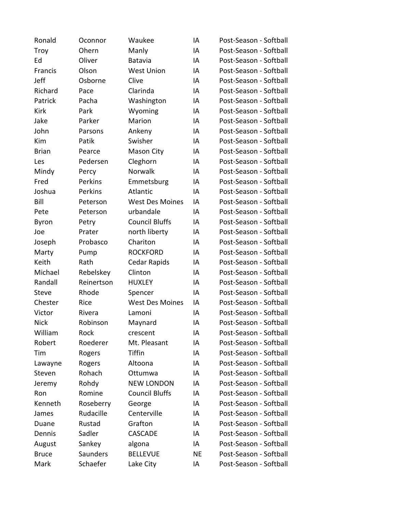| Ronald       | Oconnor    | Waukee                 | IA | Post-Season - Softball |
|--------------|------------|------------------------|----|------------------------|
| <b>Troy</b>  | Ohern      | Manly                  | IA | Post-Season - Softball |
| Ed           | Oliver     | Batavia                | IA | Post-Season - Softball |
| Francis      | Olson      | <b>West Union</b>      | IA | Post-Season - Softball |
| Jeff         | Osborne    | Clive                  | IA | Post-Season - Softball |
| Richard      | Pace       | Clarinda               | IA | Post-Season - Softball |
| Patrick      | Pacha      | Washington             | IA | Post-Season - Softball |
| Kirk         | Park       | Wyoming                | IA | Post-Season - Softball |
| Jake         | Parker     | Marion                 | IA | Post-Season - Softball |
| John         | Parsons    | Ankeny                 | IA | Post-Season - Softball |
| Kim          | Patik      | Swisher                | IA | Post-Season - Softball |
| <b>Brian</b> | Pearce     | Mason City             | IA | Post-Season - Softball |
| Les          | Pedersen   | Cleghorn               | IA | Post-Season - Softball |
| Mindy        | Percy      | <b>Norwalk</b>         | IA | Post-Season - Softball |
| Fred         | Perkins    | Emmetsburg             | IA | Post-Season - Softball |
| Joshua       | Perkins    | Atlantic               | IA | Post-Season - Softball |
| Bill         | Peterson   | <b>West Des Moines</b> | IA | Post-Season - Softball |
| Pete         | Peterson   | urbandale              | IA | Post-Season - Softball |
| Byron        | Petry      | <b>Council Bluffs</b>  | IA | Post-Season - Softball |
| Joe          | Prater     | north liberty          | IA | Post-Season - Softball |
| Joseph       | Probasco   | Chariton               | IA | Post-Season - Softball |
| Marty        | Pump       | <b>ROCKFORD</b>        | IA | Post-Season - Softball |
| Keith        | Rath       | Cedar Rapids           | IA | Post-Season - Softball |
| Michael      | Rebelskey  | Clinton                | IA | Post-Season - Softball |
| Randall      | Reinertson | <b>HUXLEY</b>          | IA | Post-Season - Softball |
| <b>Steve</b> | Rhode      | Spencer                | IA | Post-Season - Softball |
| Chester      | Rice       | <b>West Des Moines</b> | IA | Post-Season - Softball |
| Victor       | Rivera     | Lamoni                 | IA | Post-Season - Softball |
| <b>Nick</b>  | Robinson   | Maynard                | IA | Post-Season - Softball |
| William      | Rock       | crescent               | IA | Post-Season - Softball |
| Robert       | Roederer   | Mt. Pleasant           | IA | Post-Season - Softball |
| Tim          | Rogers     | <b>Tiffin</b>          | IA | Post-Season - Softball |
| Lawayne      | Rogers     | Altoona                | IA | Post-Season - Softball |
| Steven       | Rohach     | Ottumwa                | IA | Post-Season - Softball |
| Jeremy       | Rohdy      | <b>NEW LONDON</b>      | IA | Post-Season - Softball |
| Ron          | Romine     | <b>Council Bluffs</b>  | IA | Post-Season - Softball |
| Kenneth      | Roseberry  | George                 | IA | Post-Season - Softball |
| James        | Rudacille  | Centerville            | IA | Post-Season - Softball |
| Duane        | Rustad     | Grafton                | IA | Post-Season - Softball |
| Dennis       | Sadler     | <b>CASCADE</b>         | IA | Post-Season - Softball |
| August       | Sankey     | algona                 | IA | Post-Season - Softball |
| <b>Bruce</b> | Saunders   | <b>BELLEVUE</b>        | NE | Post-Season - Softball |
| Mark         | Schaefer   | Lake City              | ΙA | Post-Season - Softball |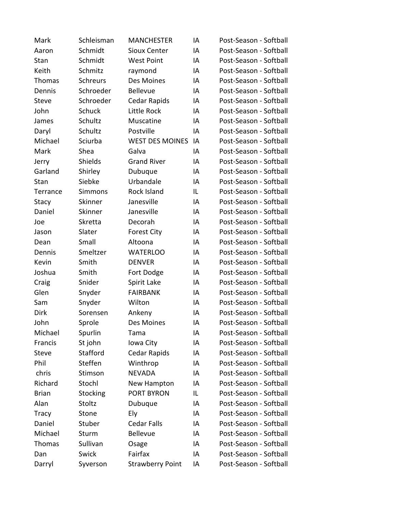| Mark         | Schleisman      | <b>MANCHESTER</b>       | IA | Post-Season - Softball |
|--------------|-----------------|-------------------------|----|------------------------|
| Aaron        | Schmidt         | Sioux Center            | IA | Post-Season - Softball |
| Stan         | Schmidt         | <b>West Point</b>       | IA | Post-Season - Softball |
| Keith        | Schmitz         | raymond                 | IA | Post-Season - Softball |
| Thomas       | <b>Schreurs</b> | Des Moines              | IA | Post-Season - Softball |
| Dennis       | Schroeder       | <b>Bellevue</b>         | IA | Post-Season - Softball |
| <b>Steve</b> | Schroeder       | Cedar Rapids            | IA | Post-Season - Softball |
| John         | <b>Schuck</b>   | Little Rock             | IA | Post-Season - Softball |
| James        | Schultz         | Muscatine               | IA | Post-Season - Softball |
| Daryl        | Schultz         | Postville               | IA | Post-Season - Softball |
| Michael      | Sciurba         | <b>WEST DES MOINES</b>  | IA | Post-Season - Softball |
| Mark         | Shea            | Galva                   | IA | Post-Season - Softball |
| Jerry        | Shields         | <b>Grand River</b>      | IA | Post-Season - Softball |
| Garland      | Shirley         | Dubuque                 | IA | Post-Season - Softball |
| Stan         | Siebke          | Urbandale               | IA | Post-Season - Softball |
| Terrance     | Simmons         | Rock Island             | IL | Post-Season - Softball |
| Stacy        | Skinner         | Janesville              | IA | Post-Season - Softball |
| Daniel       | Skinner         | Janesville              | IA | Post-Season - Softball |
| Joe          | Skretta         | Decorah                 | IA | Post-Season - Softball |
| Jason        | Slater          | <b>Forest City</b>      | IA | Post-Season - Softball |
| Dean         | Small           | Altoona                 | IA | Post-Season - Softball |
| Dennis       | Smeltzer        | <b>WATERLOO</b>         | IA | Post-Season - Softball |
| Kevin        | Smith           | <b>DENVER</b>           | IA | Post-Season - Softball |
| Joshua       | Smith           | Fort Dodge              | IA | Post-Season - Softball |
| Craig        | Snider          | Spirit Lake             | IA | Post-Season - Softball |
| Glen         | Snyder          | <b>FAIRBANK</b>         | IA | Post-Season - Softball |
| Sam          | Snyder          | Wilton                  | IA | Post-Season - Softball |
| <b>Dirk</b>  | Sorensen        | Ankeny                  | IA | Post-Season - Softball |
| John         | Sprole          | Des Moines              | IA | Post-Season - Softball |
| Michael      | Spurlin         | Tama                    | IA | Post-Season - Softball |
| Francis      | St john         | Iowa City               | IA | Post-Season - Softball |
| <b>Steve</b> | Stafford        | Cedar Rapids            | IA | Post-Season - Softball |
| Phil         | Steffen         | Winthrop                | IA | Post-Season - Softball |
| chris        | Stimson         | <b>NEVADA</b>           | IA | Post-Season - Softball |
| Richard      | Stochl          | New Hampton             | IA | Post-Season - Softball |
| <b>Brian</b> | Stocking        | PORT BYRON              | IL | Post-Season - Softball |
| Alan         | Stoltz          | Dubuque                 | IA | Post-Season - Softball |
| Tracy        | Stone           | Ely                     | IA | Post-Season - Softball |
| Daniel       | Stuber          | <b>Cedar Falls</b>      | IA | Post-Season - Softball |
| Michael      | Sturm           | <b>Bellevue</b>         | IA | Post-Season - Softball |
| Thomas       | Sullivan        | Osage                   | IA | Post-Season - Softball |
| Dan          | Swick           | Fairfax                 | IA | Post-Season - Softball |
| Darryl       | Syverson        | <b>Strawberry Point</b> | IA | Post-Season - Softball |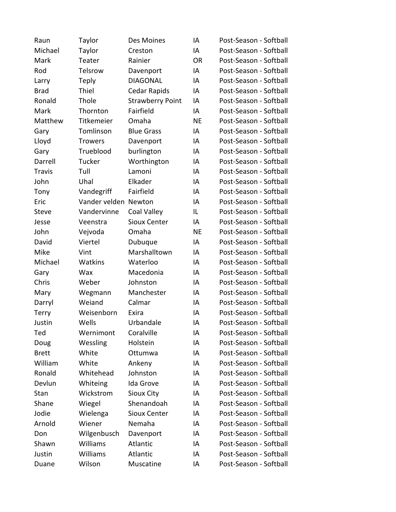| Raun          | Taylor               | Des Moines              | IA        | Post-Season - Softball |
|---------------|----------------------|-------------------------|-----------|------------------------|
| Michael       | Taylor               | Creston                 | IA        | Post-Season - Softball |
| Mark          | Teater               | Rainier                 | <b>OR</b> | Post-Season - Softball |
| Rod           | Telsrow              | Davenport               | IA        | Post-Season - Softball |
| Larry         | <b>Teply</b>         | <b>DIAGONAL</b>         | IA        | Post-Season - Softball |
| <b>Brad</b>   | Thiel                | Cedar Rapids            | IA        | Post-Season - Softball |
| Ronald        | Thole                | <b>Strawberry Point</b> | IA        | Post-Season - Softball |
| Mark          | Thornton             | Fairfield               | IA        | Post-Season - Softball |
| Matthew       | Titkemeier           | Omaha                   | <b>NE</b> | Post-Season - Softball |
| Gary          | Tomlinson            | <b>Blue Grass</b>       | IA        | Post-Season - Softball |
| Lloyd         | <b>Trowers</b>       | Davenport               | IA        | Post-Season - Softball |
| Gary          | Trueblood            | burlington              | IA        | Post-Season - Softball |
| Darrell       | Tucker               | Worthington             | IA        | Post-Season - Softball |
| <b>Travis</b> | Tull                 | Lamoni                  | IA        | Post-Season - Softball |
| John          | Uhal                 | Elkader                 | IA        | Post-Season - Softball |
| Tony          | Vandegriff           | Fairfield               | IA        | Post-Season - Softball |
| Eric          | Vander velden Newton |                         | IA        | Post-Season - Softball |
| <b>Steve</b>  | Vandervinne          | Coal Valley             | IL        | Post-Season - Softball |
| Jesse         | Veenstra             | <b>Sioux Center</b>     | IA        | Post-Season - Softball |
| John          | Vejvoda              | Omaha                   | <b>NE</b> | Post-Season - Softball |
| David         | Viertel              | Dubuque                 | IA        | Post-Season - Softball |
| Mike          | Vint                 | Marshalltown            | IA        | Post-Season - Softball |
| Michael       | Watkins              | Waterloo                | IA        | Post-Season - Softball |
| Gary          | Wax                  | Macedonia               | IA        | Post-Season - Softball |
| Chris         | Weber                | Johnston                | IA        | Post-Season - Softball |
| Mary          | Wegmann              | Manchester              | IA        | Post-Season - Softball |
| Darryl        | Weiand               | Calmar                  | IA        | Post-Season - Softball |
| Terry         | Weisenborn           | Exira                   | IA        | Post-Season - Softball |
| Justin        | Wells                | Urbandale               | IA        | Post-Season - Softball |
| Ted           | Wernimont            | Coralville              | IA        | Post-Season - Softball |
| Doug          | Wessling             | Holstein                | IA        | Post-Season - Softball |
| <b>Brett</b>  | White                | Ottumwa                 | IA        | Post-Season - Softball |
| William       | White                | Ankeny                  | IA        | Post-Season - Softball |
| Ronald        | Whitehead            | Johnston                | IA        | Post-Season - Softball |
| Devlun        | Whiteing             | Ida Grove               | IA        | Post-Season - Softball |
| Stan          | Wickstrom            | <b>Sioux City</b>       | IA        | Post-Season - Softball |
| Shane         | Wiegel               | Shenandoah              | IA        | Post-Season - Softball |
| Jodie         | Wielenga             | Sioux Center            | IA        | Post-Season - Softball |
| Arnold        | Wiener               | Nemaha                  | ΙA        | Post-Season - Softball |
| Don           | Wilgenbusch          | Davenport               | IA        | Post-Season - Softball |
| Shawn         | Williams             | Atlantic                | IA        | Post-Season - Softball |
| Justin        | Williams             | Atlantic                | IA        | Post-Season - Softball |
| Duane         | Wilson               | Muscatine               | ΙA        | Post-Season - Softball |